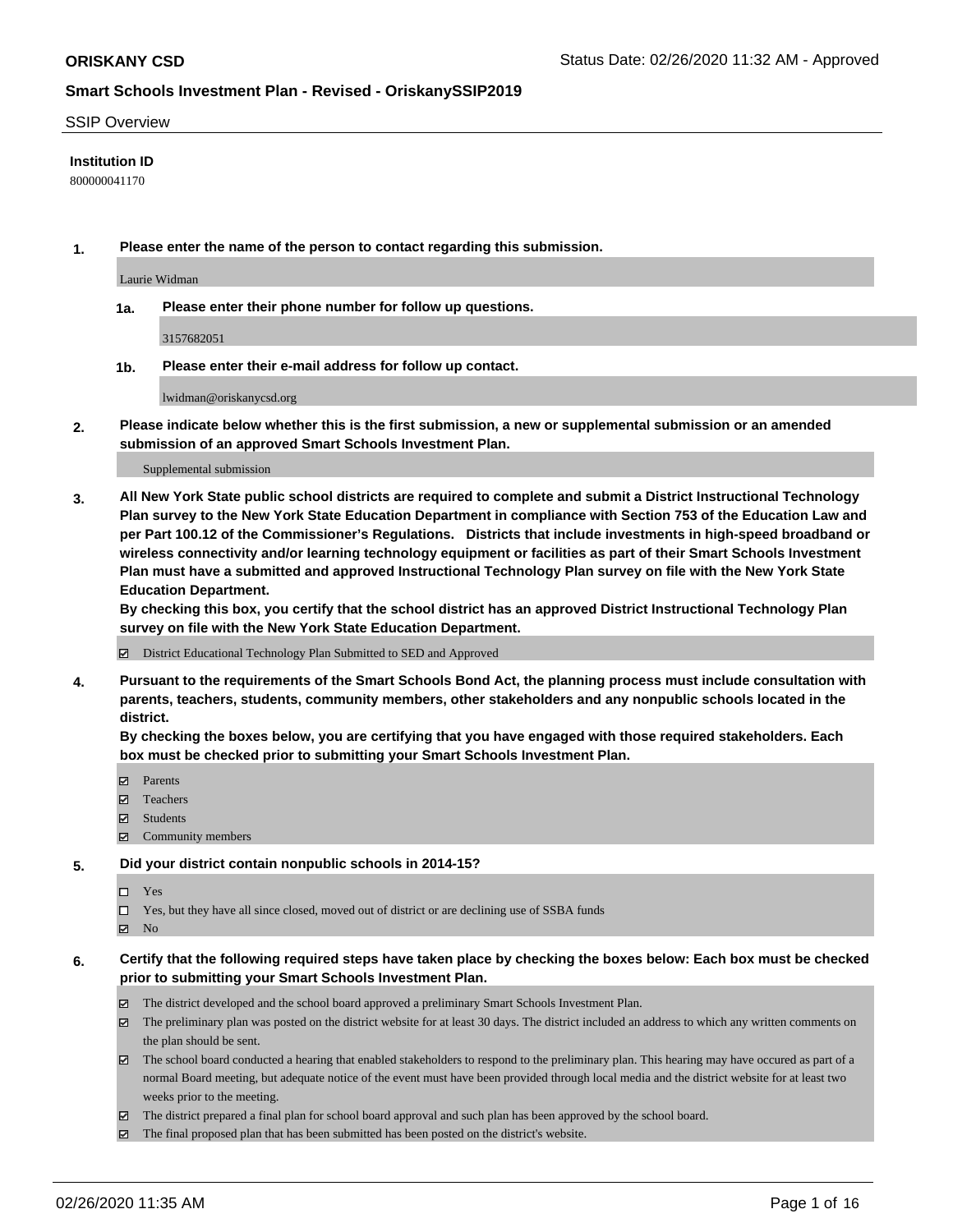#### SSIP Overview

#### **Institution ID**

800000041170

**1. Please enter the name of the person to contact regarding this submission.**

Laurie Widman

**1a. Please enter their phone number for follow up questions.**

3157682051

**1b. Please enter their e-mail address for follow up contact.**

lwidman@oriskanycsd.org

**2. Please indicate below whether this is the first submission, a new or supplemental submission or an amended submission of an approved Smart Schools Investment Plan.**

#### Supplemental submission

**3. All New York State public school districts are required to complete and submit a District Instructional Technology Plan survey to the New York State Education Department in compliance with Section 753 of the Education Law and per Part 100.12 of the Commissioner's Regulations. Districts that include investments in high-speed broadband or wireless connectivity and/or learning technology equipment or facilities as part of their Smart Schools Investment Plan must have a submitted and approved Instructional Technology Plan survey on file with the New York State Education Department.** 

**By checking this box, you certify that the school district has an approved District Instructional Technology Plan survey on file with the New York State Education Department.**

District Educational Technology Plan Submitted to SED and Approved

**4. Pursuant to the requirements of the Smart Schools Bond Act, the planning process must include consultation with parents, teachers, students, community members, other stakeholders and any nonpublic schools located in the district.** 

**By checking the boxes below, you are certifying that you have engaged with those required stakeholders. Each box must be checked prior to submitting your Smart Schools Investment Plan.**

- **マ** Parents
- Teachers
- Students
- Community members

#### **5. Did your district contain nonpublic schools in 2014-15?**

 $\neg$  Yes

Yes, but they have all since closed, moved out of district or are declining use of SSBA funds

**Z** No

#### **6. Certify that the following required steps have taken place by checking the boxes below: Each box must be checked prior to submitting your Smart Schools Investment Plan.**

- The district developed and the school board approved a preliminary Smart Schools Investment Plan.
- $\boxtimes$  The preliminary plan was posted on the district website for at least 30 days. The district included an address to which any written comments on the plan should be sent.
- $\boxtimes$  The school board conducted a hearing that enabled stakeholders to respond to the preliminary plan. This hearing may have occured as part of a normal Board meeting, but adequate notice of the event must have been provided through local media and the district website for at least two weeks prior to the meeting.
- The district prepared a final plan for school board approval and such plan has been approved by the school board.
- The final proposed plan that has been submitted has been posted on the district's website.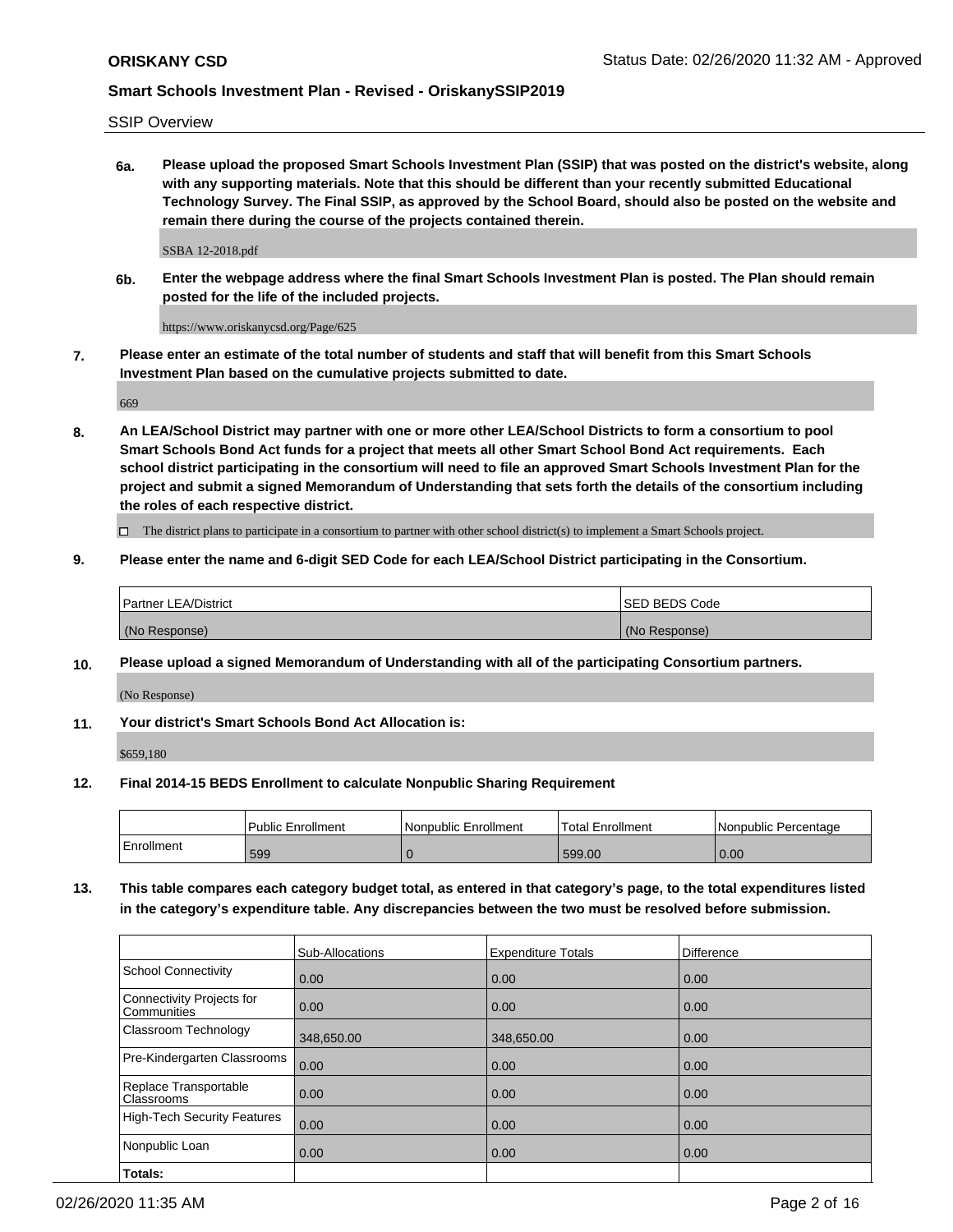SSIP Overview

**6a. Please upload the proposed Smart Schools Investment Plan (SSIP) that was posted on the district's website, along with any supporting materials. Note that this should be different than your recently submitted Educational Technology Survey. The Final SSIP, as approved by the School Board, should also be posted on the website and remain there during the course of the projects contained therein.**

SSBA 12-2018.pdf

**6b. Enter the webpage address where the final Smart Schools Investment Plan is posted. The Plan should remain posted for the life of the included projects.**

https://www.oriskanycsd.org/Page/625

**7. Please enter an estimate of the total number of students and staff that will benefit from this Smart Schools Investment Plan based on the cumulative projects submitted to date.**

669

**8. An LEA/School District may partner with one or more other LEA/School Districts to form a consortium to pool Smart Schools Bond Act funds for a project that meets all other Smart School Bond Act requirements. Each school district participating in the consortium will need to file an approved Smart Schools Investment Plan for the project and submit a signed Memorandum of Understanding that sets forth the details of the consortium including the roles of each respective district.**

 $\Box$  The district plans to participate in a consortium to partner with other school district(s) to implement a Smart Schools project.

### **9. Please enter the name and 6-digit SED Code for each LEA/School District participating in the Consortium.**

| Partner LEA/District | <b>ISED BEDS Code</b> |
|----------------------|-----------------------|
| (No Response)        | (No Response)         |

### **10. Please upload a signed Memorandum of Understanding with all of the participating Consortium partners.**

(No Response)

**11. Your district's Smart Schools Bond Act Allocation is:**

\$659,180

#### **12. Final 2014-15 BEDS Enrollment to calculate Nonpublic Sharing Requirement**

|            | <b>Public Enrollment</b> | Nonpublic Enrollment | <b>Total Enrollment</b> | l Nonpublic Percentage |
|------------|--------------------------|----------------------|-------------------------|------------------------|
| Enrollment | 599                      |                      | 599.00                  | 0.00                   |

**13. This table compares each category budget total, as entered in that category's page, to the total expenditures listed in the category's expenditure table. Any discrepancies between the two must be resolved before submission.**

|                                          | Sub-Allocations | <b>Expenditure Totals</b> | <b>Difference</b> |
|------------------------------------------|-----------------|---------------------------|-------------------|
| <b>School Connectivity</b>               | 0.00            | 0.00                      | 0.00              |
| Connectivity Projects for<br>Communities | 0.00            | 0.00                      | 0.00              |
| Classroom Technology                     | 348,650.00      | 348,650.00                | 0.00              |
| Pre-Kindergarten Classrooms              | 0.00            | 0.00                      | 0.00              |
| Replace Transportable<br>Classrooms      | 0.00            | 0.00                      | 0.00              |
| <b>High-Tech Security Features</b>       | 0.00            | 0.00                      | 0.00              |
| Nonpublic Loan                           | 0.00            | 0.00                      | 0.00              |
| Totals:                                  |                 |                           |                   |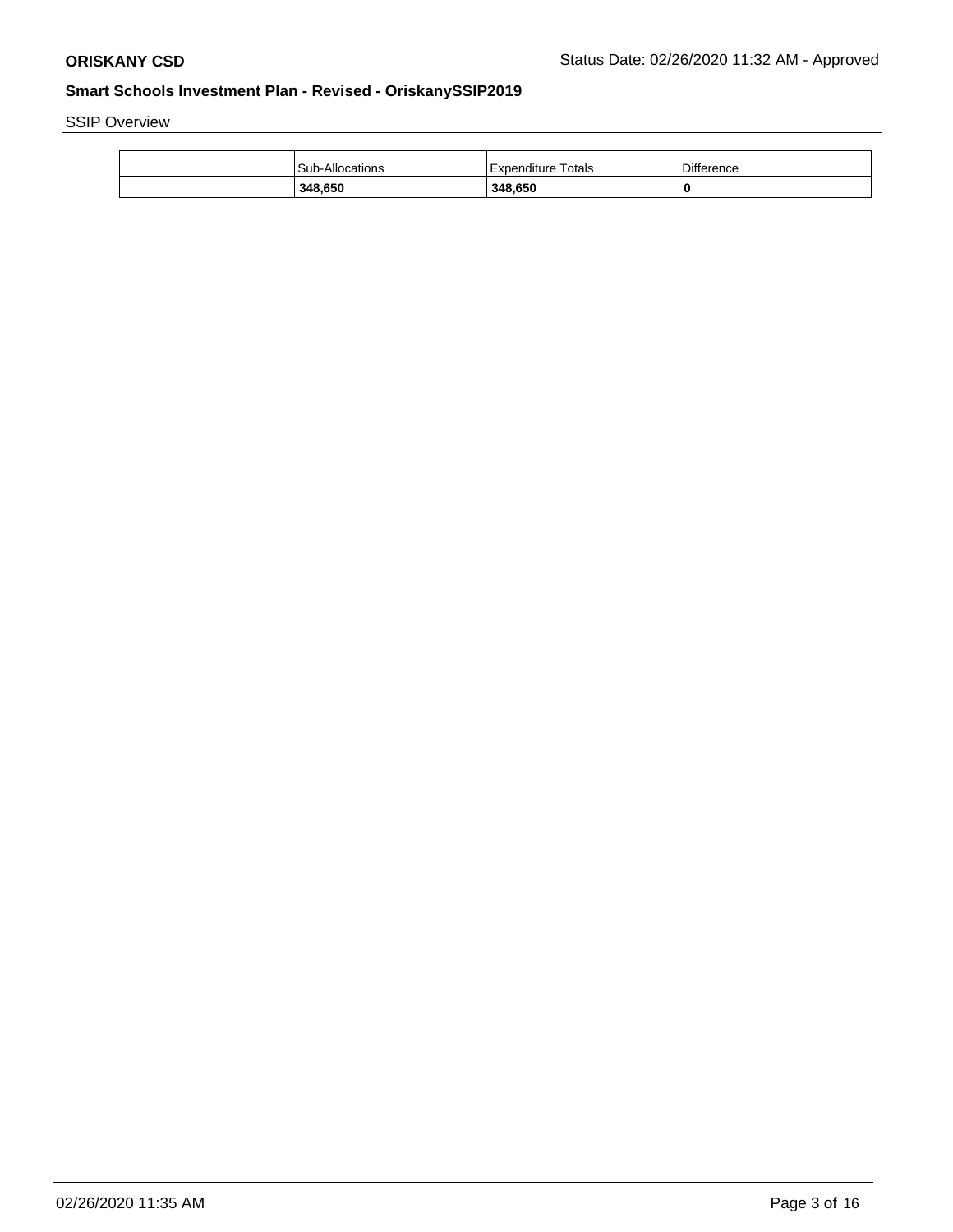SSIP Overview

| <b>Sub-Allocations</b> | Expenditure Totals | Difference |
|------------------------|--------------------|------------|
| 348,650                | 348,650            | 0          |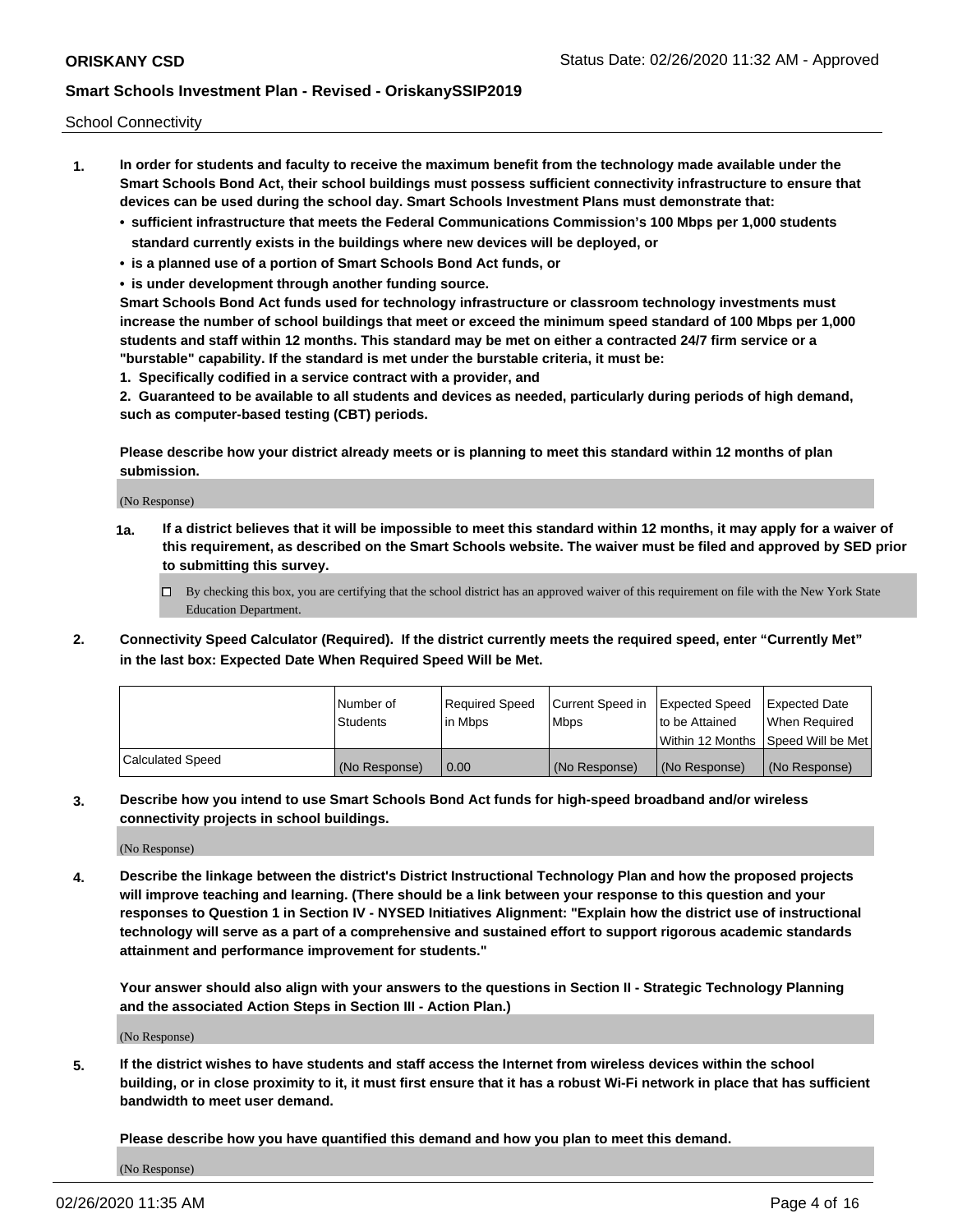School Connectivity

- **1. In order for students and faculty to receive the maximum benefit from the technology made available under the Smart Schools Bond Act, their school buildings must possess sufficient connectivity infrastructure to ensure that devices can be used during the school day. Smart Schools Investment Plans must demonstrate that:**
	- **• sufficient infrastructure that meets the Federal Communications Commission's 100 Mbps per 1,000 students standard currently exists in the buildings where new devices will be deployed, or**
	- **• is a planned use of a portion of Smart Schools Bond Act funds, or**
	- **• is under development through another funding source.**

**Smart Schools Bond Act funds used for technology infrastructure or classroom technology investments must increase the number of school buildings that meet or exceed the minimum speed standard of 100 Mbps per 1,000 students and staff within 12 months. This standard may be met on either a contracted 24/7 firm service or a "burstable" capability. If the standard is met under the burstable criteria, it must be:**

**1. Specifically codified in a service contract with a provider, and**

**2. Guaranteed to be available to all students and devices as needed, particularly during periods of high demand, such as computer-based testing (CBT) periods.**

**Please describe how your district already meets or is planning to meet this standard within 12 months of plan submission.**

(No Response)

**1a. If a district believes that it will be impossible to meet this standard within 12 months, it may apply for a waiver of this requirement, as described on the Smart Schools website. The waiver must be filed and approved by SED prior to submitting this survey.**

 $\Box$  By checking this box, you are certifying that the school district has an approved waiver of this requirement on file with the New York State Education Department.

**2. Connectivity Speed Calculator (Required). If the district currently meets the required speed, enter "Currently Met" in the last box: Expected Date When Required Speed Will be Met.**

|                  | l Number of   | Required Speed | Current Speed in | Expected Speed  | Expected Date                           |
|------------------|---------------|----------------|------------------|-----------------|-----------------------------------------|
|                  | Students      | In Mbps        | l Mbps           | to be Attained  | When Required                           |
|                  |               |                |                  |                 | l Within 12 Months ISpeed Will be Met l |
| Calculated Speed | (No Response) | 0.00           | (No Response)    | l (No Response) | l (No Response)                         |

**3. Describe how you intend to use Smart Schools Bond Act funds for high-speed broadband and/or wireless connectivity projects in school buildings.**

(No Response)

**4. Describe the linkage between the district's District Instructional Technology Plan and how the proposed projects will improve teaching and learning. (There should be a link between your response to this question and your responses to Question 1 in Section IV - NYSED Initiatives Alignment: "Explain how the district use of instructional technology will serve as a part of a comprehensive and sustained effort to support rigorous academic standards attainment and performance improvement for students."** 

**Your answer should also align with your answers to the questions in Section II - Strategic Technology Planning and the associated Action Steps in Section III - Action Plan.)**

(No Response)

**5. If the district wishes to have students and staff access the Internet from wireless devices within the school building, or in close proximity to it, it must first ensure that it has a robust Wi-Fi network in place that has sufficient bandwidth to meet user demand.**

**Please describe how you have quantified this demand and how you plan to meet this demand.**

(No Response)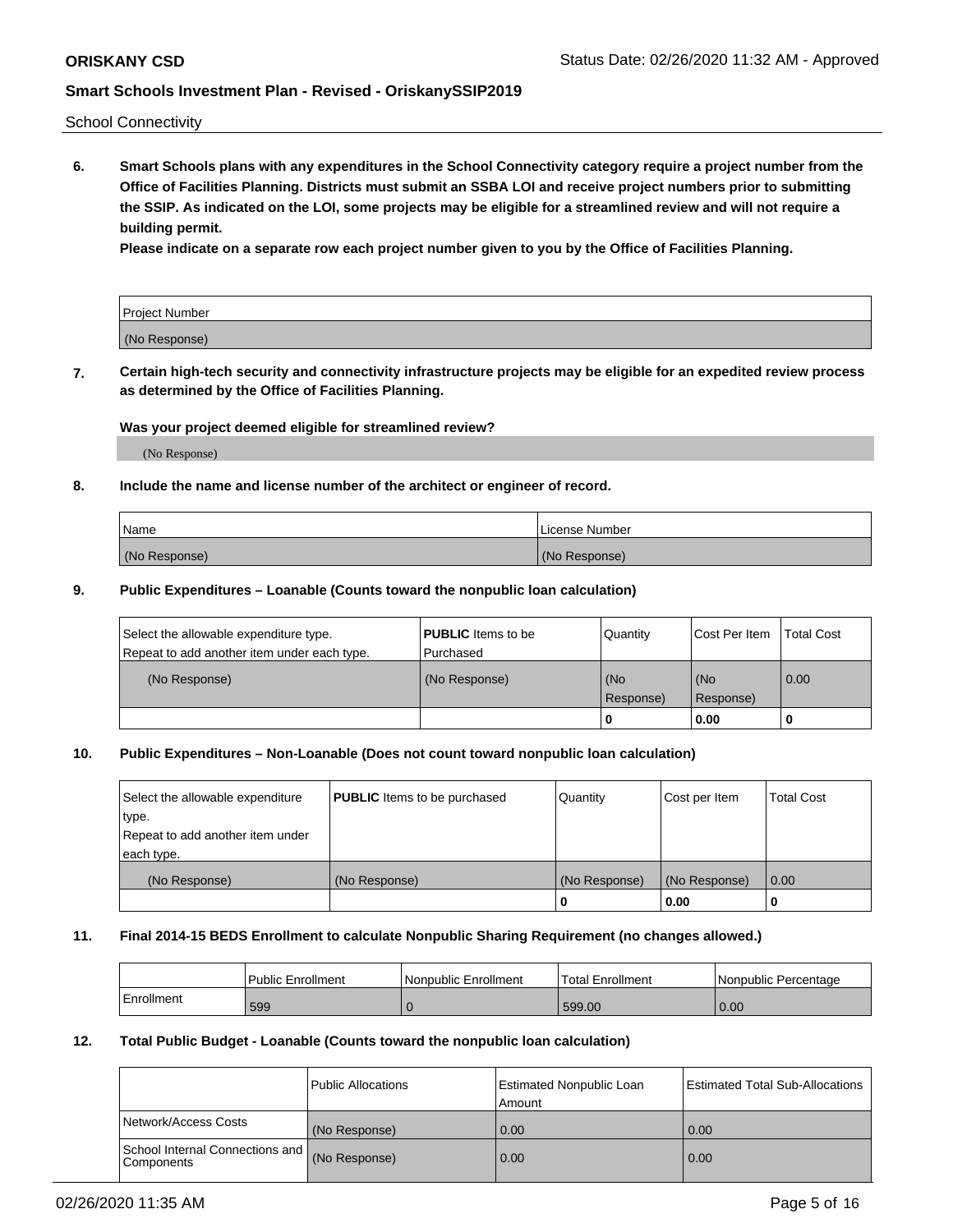School Connectivity

**6. Smart Schools plans with any expenditures in the School Connectivity category require a project number from the Office of Facilities Planning. Districts must submit an SSBA LOI and receive project numbers prior to submitting the SSIP. As indicated on the LOI, some projects may be eligible for a streamlined review and will not require a building permit.**

**Please indicate on a separate row each project number given to you by the Office of Facilities Planning.**

| Project Number |  |
|----------------|--|
| (No Response)  |  |

**7. Certain high-tech security and connectivity infrastructure projects may be eligible for an expedited review process as determined by the Office of Facilities Planning.**

#### **Was your project deemed eligible for streamlined review?**

(No Response)

### **8. Include the name and license number of the architect or engineer of record.**

| Name          | License Number |
|---------------|----------------|
| (No Response) | (No Response)  |

#### **9. Public Expenditures – Loanable (Counts toward the nonpublic loan calculation)**

| Select the allowable expenditure type.<br>Repeat to add another item under each type. | <b>PUBLIC</b> Items to be<br>l Purchased | Quantity         | l Cost Per Item  | <b>Total Cost</b> |
|---------------------------------------------------------------------------------------|------------------------------------------|------------------|------------------|-------------------|
| (No Response)                                                                         | (No Response)                            | (No<br>Response) | (No<br>Response) | 0.00              |
|                                                                                       |                                          | 0                | 0.00             |                   |

### **10. Public Expenditures – Non-Loanable (Does not count toward nonpublic loan calculation)**

| Select the allowable expenditure<br>type.<br>Repeat to add another item under<br>each type. | <b>PUBLIC</b> Items to be purchased | Quantity      | Cost per Item | <b>Total Cost</b> |
|---------------------------------------------------------------------------------------------|-------------------------------------|---------------|---------------|-------------------|
| (No Response)                                                                               | (No Response)                       | (No Response) | (No Response) | 0.00              |
|                                                                                             |                                     |               | 0.00          |                   |

#### **11. Final 2014-15 BEDS Enrollment to calculate Nonpublic Sharing Requirement (no changes allowed.)**

|            | l Public Enrollment | Nonpublic Enrollment | Total Enrollment | l Nonpublic Percentage |
|------------|---------------------|----------------------|------------------|------------------------|
| Enrollment | 599                 |                      | 599.00           | 0.00                   |

#### **12. Total Public Budget - Loanable (Counts toward the nonpublic loan calculation)**

|                                                      | Public Allocations | <b>Estimated Nonpublic Loan</b><br>Amount | Estimated Total Sub-Allocations |
|------------------------------------------------------|--------------------|-------------------------------------------|---------------------------------|
| Network/Access Costs                                 | (No Response)      | 0.00                                      | 0.00                            |
| School Internal Connections and<br><b>Components</b> | (No Response)      | 0.00                                      | 0.00                            |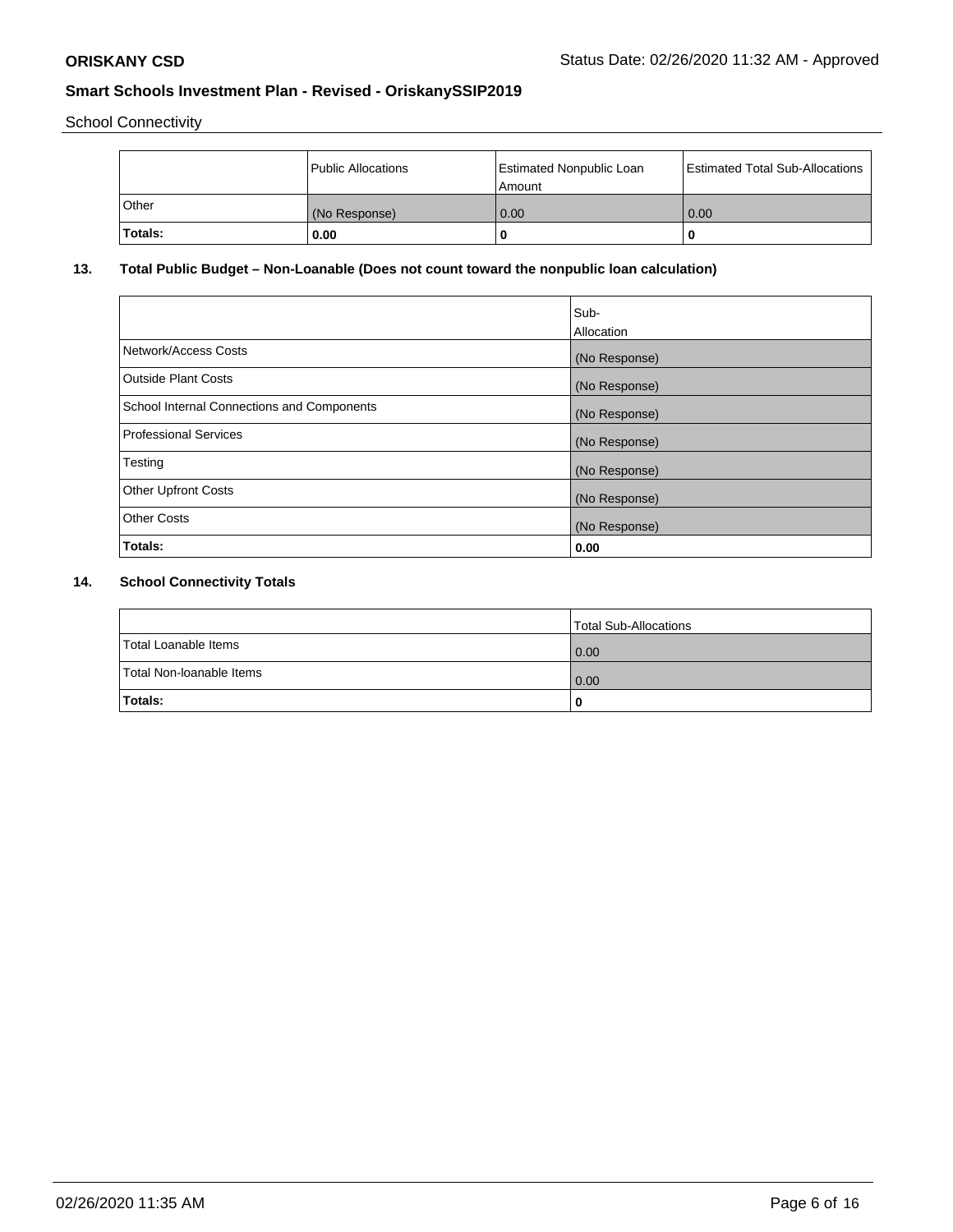School Connectivity

|         | <b>Public Allocations</b> | <b>Estimated Nonpublic Loan</b><br>Amount | <b>Estimated Total Sub-Allocations</b> |
|---------|---------------------------|-------------------------------------------|----------------------------------------|
| Other   | (No Response)             | 0.00                                      | 0.00                                   |
| Totals: | 0.00                      | 0                                         | o                                      |

## **13. Total Public Budget – Non-Loanable (Does not count toward the nonpublic loan calculation)**

|                                                   | Sub-<br>Allocation |
|---------------------------------------------------|--------------------|
| Network/Access Costs                              | (No Response)      |
| Outside Plant Costs                               | (No Response)      |
| <b>School Internal Connections and Components</b> | (No Response)      |
| Professional Services                             | (No Response)      |
| Testing                                           | (No Response)      |
| <b>Other Upfront Costs</b>                        | (No Response)      |
| <b>Other Costs</b>                                | (No Response)      |
| Totals:                                           | 0.00               |

# **14. School Connectivity Totals**

|                          | Total Sub-Allocations |
|--------------------------|-----------------------|
| Total Loanable Items     | 0.00                  |
| Total Non-Ioanable Items | 0.00                  |
| Totals:                  | 0                     |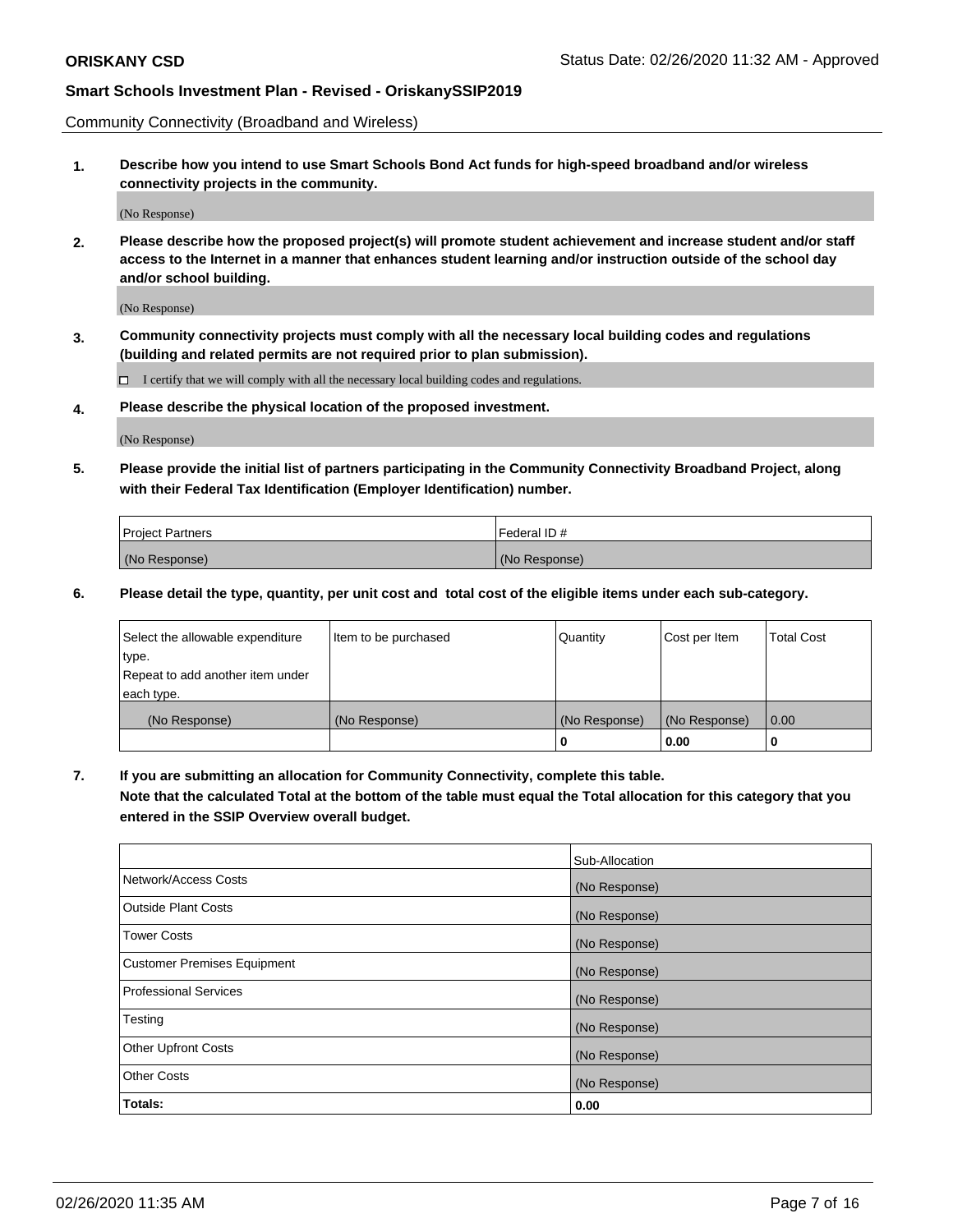Community Connectivity (Broadband and Wireless)

**1. Describe how you intend to use Smart Schools Bond Act funds for high-speed broadband and/or wireless connectivity projects in the community.**

(No Response)

**2. Please describe how the proposed project(s) will promote student achievement and increase student and/or staff access to the Internet in a manner that enhances student learning and/or instruction outside of the school day and/or school building.**

(No Response)

**3. Community connectivity projects must comply with all the necessary local building codes and regulations (building and related permits are not required prior to plan submission).**

 $\Box$  I certify that we will comply with all the necessary local building codes and regulations.

**4. Please describe the physical location of the proposed investment.**

(No Response)

**5. Please provide the initial list of partners participating in the Community Connectivity Broadband Project, along with their Federal Tax Identification (Employer Identification) number.**

| <b>Project Partners</b> | l Federal ID # |
|-------------------------|----------------|
| (No Response)           | (No Response)  |

**6. Please detail the type, quantity, per unit cost and total cost of the eligible items under each sub-category.**

| Select the allowable expenditure | Item to be purchased | Quantity      | Cost per Item | <b>Total Cost</b> |
|----------------------------------|----------------------|---------------|---------------|-------------------|
| type.                            |                      |               |               |                   |
| Repeat to add another item under |                      |               |               |                   |
| each type.                       |                      |               |               |                   |
| (No Response)                    | (No Response)        | (No Response) | (No Response) | 0.00              |
|                                  |                      | o             | 0.00          |                   |

**7. If you are submitting an allocation for Community Connectivity, complete this table.**

**Note that the calculated Total at the bottom of the table must equal the Total allocation for this category that you entered in the SSIP Overview overall budget.**

|                                    | Sub-Allocation |
|------------------------------------|----------------|
| Network/Access Costs               | (No Response)  |
| Outside Plant Costs                | (No Response)  |
| <b>Tower Costs</b>                 | (No Response)  |
| <b>Customer Premises Equipment</b> | (No Response)  |
| <b>Professional Services</b>       | (No Response)  |
| Testing                            | (No Response)  |
| <b>Other Upfront Costs</b>         | (No Response)  |
| <b>Other Costs</b>                 | (No Response)  |
| Totals:                            | 0.00           |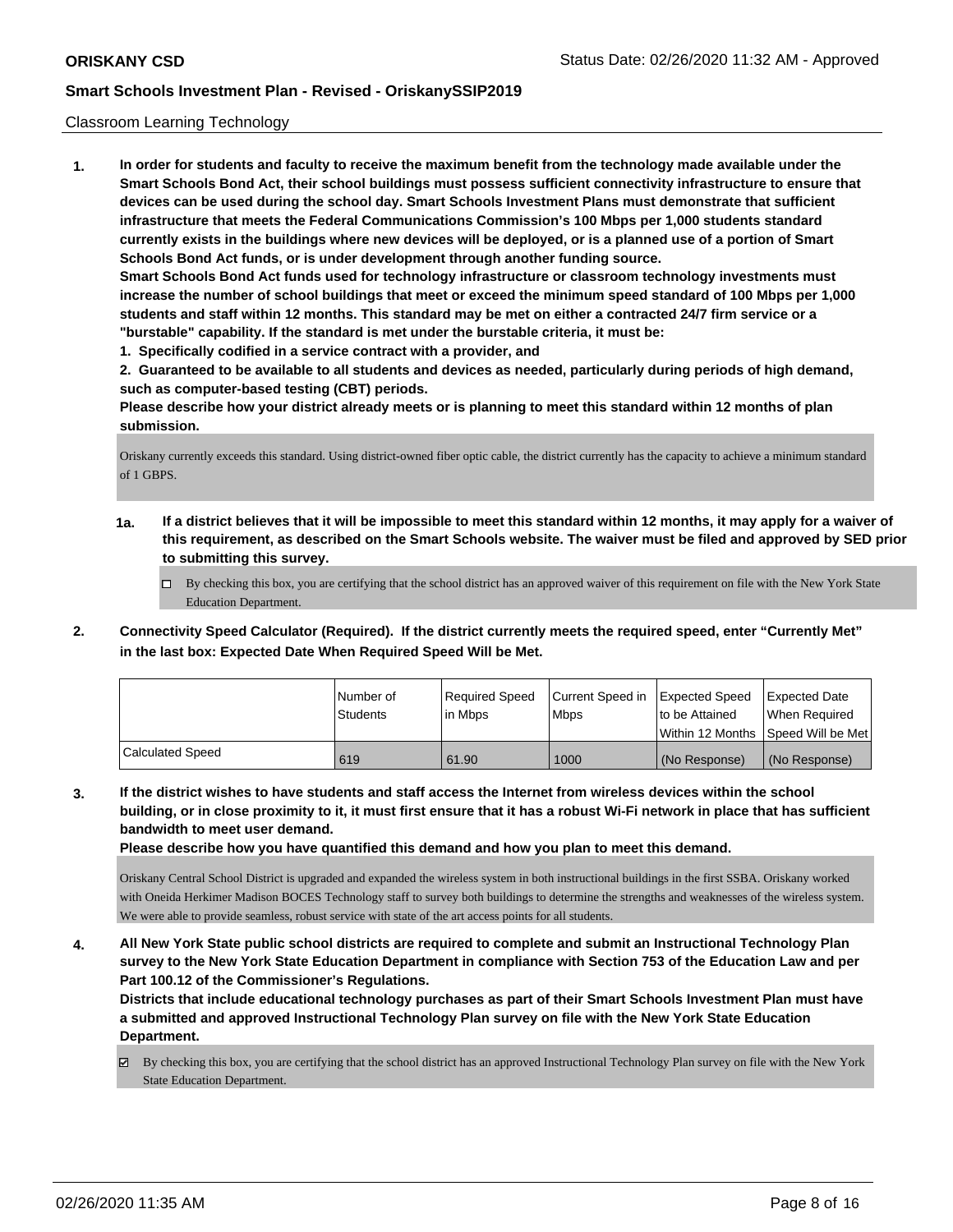#### Classroom Learning Technology

**1. In order for students and faculty to receive the maximum benefit from the technology made available under the Smart Schools Bond Act, their school buildings must possess sufficient connectivity infrastructure to ensure that devices can be used during the school day. Smart Schools Investment Plans must demonstrate that sufficient infrastructure that meets the Federal Communications Commission's 100 Mbps per 1,000 students standard currently exists in the buildings where new devices will be deployed, or is a planned use of a portion of Smart Schools Bond Act funds, or is under development through another funding source. Smart Schools Bond Act funds used for technology infrastructure or classroom technology investments must increase the number of school buildings that meet or exceed the minimum speed standard of 100 Mbps per 1,000 students and staff within 12 months. This standard may be met on either a contracted 24/7 firm service or a "burstable" capability. If the standard is met under the burstable criteria, it must be: 1. Specifically codified in a service contract with a provider, and**

**2. Guaranteed to be available to all students and devices as needed, particularly during periods of high demand, such as computer-based testing (CBT) periods.**

**Please describe how your district already meets or is planning to meet this standard within 12 months of plan submission.**

Oriskany currently exceeds this standard. Using district-owned fiber optic cable, the district currently has the capacity to achieve a minimum standard of 1 GBPS.

- **1a. If a district believes that it will be impossible to meet this standard within 12 months, it may apply for a waiver of this requirement, as described on the Smart Schools website. The waiver must be filed and approved by SED prior to submitting this survey.**
	- By checking this box, you are certifying that the school district has an approved waiver of this requirement on file with the New York State Education Department.
- **2. Connectivity Speed Calculator (Required). If the district currently meets the required speed, enter "Currently Met" in the last box: Expected Date When Required Speed Will be Met.**

|                  | l Number of | Required Speed | Current Speed in | Expected Speed     | <b>Expected Date</b> |
|------------------|-------------|----------------|------------------|--------------------|----------------------|
|                  | Students    | lin Mbps       | <b>Mbps</b>      | to be Attained     | When Reauired        |
|                  |             |                |                  | l Within 12 Months | Speed Will be Met    |
| Calculated Speed | 619         | 61.90          | 1000             | (No Response)      | (No Response)        |

**3. If the district wishes to have students and staff access the Internet from wireless devices within the school building, or in close proximity to it, it must first ensure that it has a robust Wi-Fi network in place that has sufficient bandwidth to meet user demand.**

**Please describe how you have quantified this demand and how you plan to meet this demand.**

Oriskany Central School District is upgraded and expanded the wireless system in both instructional buildings in the first SSBA. Oriskany worked with Oneida Herkimer Madison BOCES Technology staff to survey both buildings to determine the strengths and weaknesses of the wireless system. We were able to provide seamless, robust service with state of the art access points for all students.

**4. All New York State public school districts are required to complete and submit an Instructional Technology Plan survey to the New York State Education Department in compliance with Section 753 of the Education Law and per Part 100.12 of the Commissioner's Regulations.**

**Districts that include educational technology purchases as part of their Smart Schools Investment Plan must have a submitted and approved Instructional Technology Plan survey on file with the New York State Education Department.**

By checking this box, you are certifying that the school district has an approved Instructional Technology Plan survey on file with the New York State Education Department.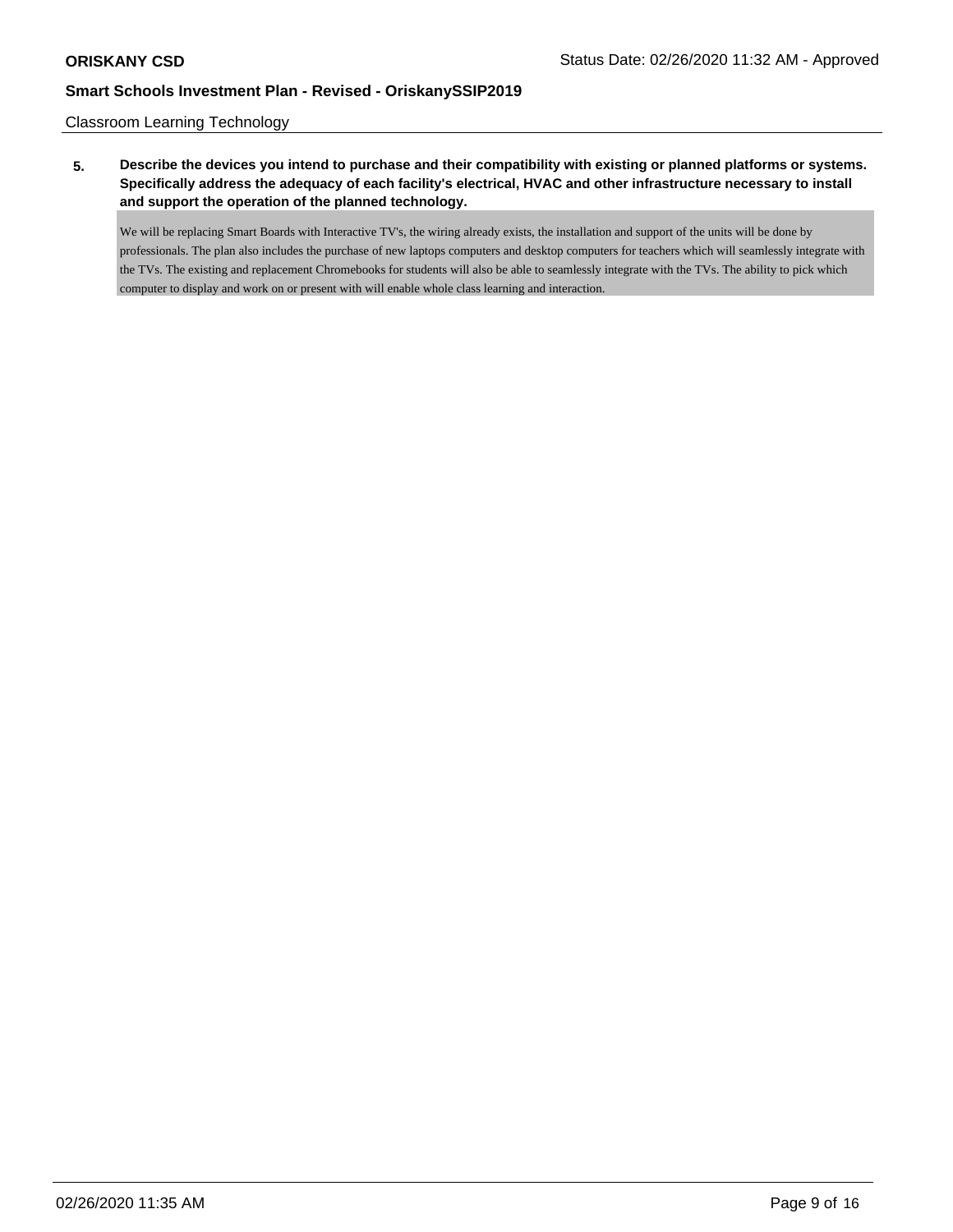Classroom Learning Technology

**5. Describe the devices you intend to purchase and their compatibility with existing or planned platforms or systems. Specifically address the adequacy of each facility's electrical, HVAC and other infrastructure necessary to install and support the operation of the planned technology.**

We will be replacing Smart Boards with Interactive TV's, the wiring already exists, the installation and support of the units will be done by professionals. The plan also includes the purchase of new laptops computers and desktop computers for teachers which will seamlessly integrate with the TVs. The existing and replacement Chromebooks for students will also be able to seamlessly integrate with the TVs. The ability to pick which computer to display and work on or present with will enable whole class learning and interaction.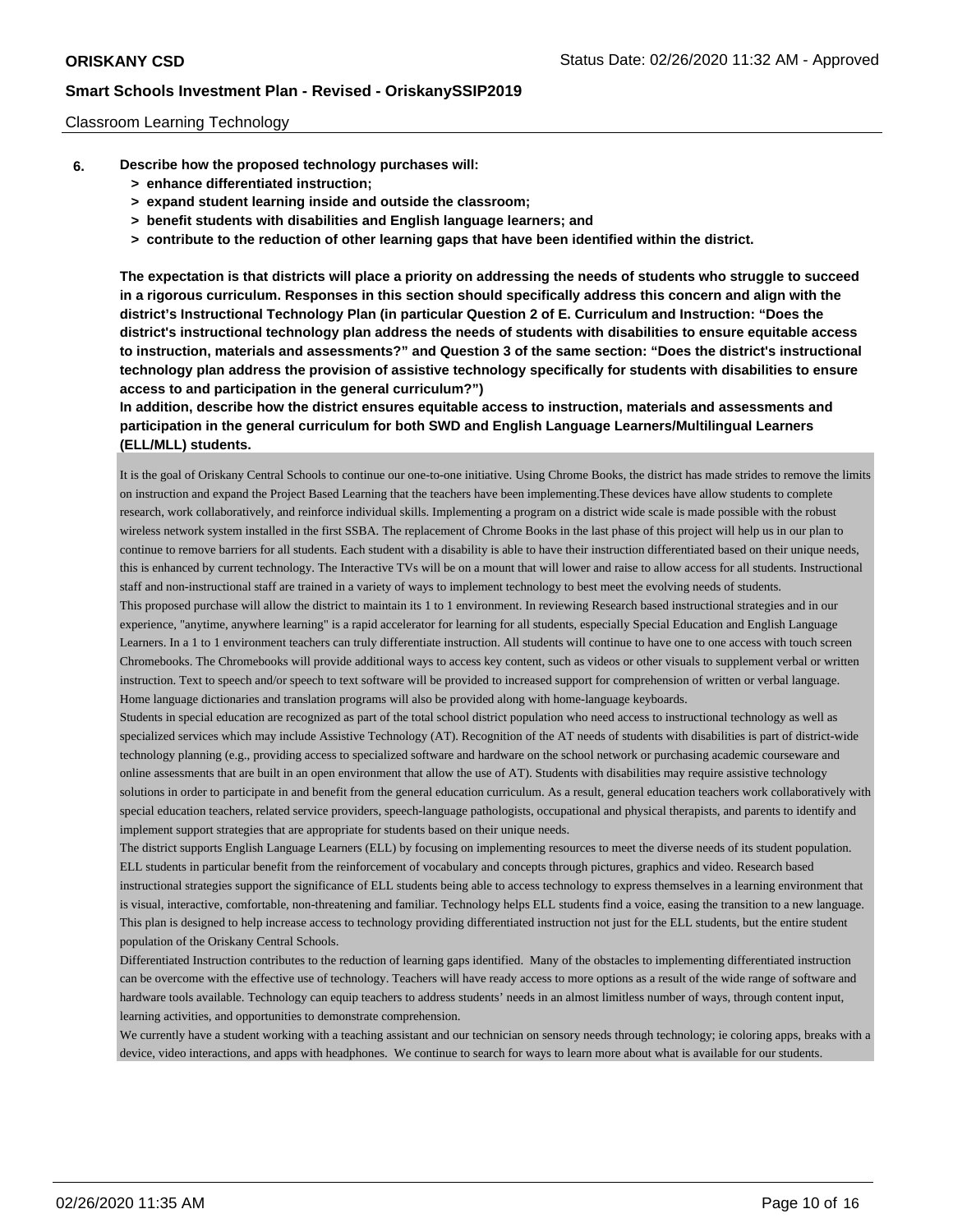#### Classroom Learning Technology

- **6. Describe how the proposed technology purchases will:**
	- **> enhance differentiated instruction;**
	- **> expand student learning inside and outside the classroom;**
	- **> benefit students with disabilities and English language learners; and**
	- **> contribute to the reduction of other learning gaps that have been identified within the district.**

**The expectation is that districts will place a priority on addressing the needs of students who struggle to succeed in a rigorous curriculum. Responses in this section should specifically address this concern and align with the district's Instructional Technology Plan (in particular Question 2 of E. Curriculum and Instruction: "Does the district's instructional technology plan address the needs of students with disabilities to ensure equitable access to instruction, materials and assessments?" and Question 3 of the same section: "Does the district's instructional technology plan address the provision of assistive technology specifically for students with disabilities to ensure access to and participation in the general curriculum?")**

**In addition, describe how the district ensures equitable access to instruction, materials and assessments and participation in the general curriculum for both SWD and English Language Learners/Multilingual Learners (ELL/MLL) students.**

It is the goal of Oriskany Central Schools to continue our one-to-one initiative. Using Chrome Books, the district has made strides to remove the limits on instruction and expand the Project Based Learning that the teachers have been implementing.These devices have allow students to complete research, work collaboratively, and reinforce individual skills. Implementing a program on a district wide scale is made possible with the robust wireless network system installed in the first SSBA. The replacement of Chrome Books in the last phase of this project will help us in our plan to continue to remove barriers for all students. Each student with a disability is able to have their instruction differentiated based on their unique needs, this is enhanced by current technology. The Interactive TVs will be on a mount that will lower and raise to allow access for all students. Instructional staff and non-instructional staff are trained in a variety of ways to implement technology to best meet the evolving needs of students. This proposed purchase will allow the district to maintain its 1 to 1 environment. In reviewing Research based instructional strategies and in our experience, "anytime, anywhere learning" is a rapid accelerator for learning for all students, especially Special Education and English Language Learners. In a 1 to 1 environment teachers can truly differentiate instruction. All students will continue to have one to one access with touch screen

Chromebooks. The Chromebooks will provide additional ways to access key content, such as videos or other visuals to supplement verbal or written instruction. Text to speech and/or speech to text software will be provided to increased support for comprehension of written or verbal language. Home language dictionaries and translation programs will also be provided along with home-language keyboards.

Students in special education are recognized as part of the total school district population who need access to instructional technology as well as specialized services which may include Assistive Technology (AT). Recognition of the AT needs of students with disabilities is part of district-wide technology planning (e.g., providing access to specialized software and hardware on the school network or purchasing academic courseware and online assessments that are built in an open environment that allow the use of AT). Students with disabilities may require assistive technology solutions in order to participate in and benefit from the general education curriculum. As a result, general education teachers work collaboratively with special education teachers, related service providers, speech-language pathologists, occupational and physical therapists, and parents to identify and implement support strategies that are appropriate for students based on their unique needs.

The district supports English Language Learners (ELL) by focusing on implementing resources to meet the diverse needs of its student population. ELL students in particular benefit from the reinforcement of vocabulary and concepts through pictures, graphics and video. Research based instructional strategies support the significance of ELL students being able to access technology to express themselves in a learning environment that is visual, interactive, comfortable, non-threatening and familiar. Technology helps ELL students find a voice, easing the transition to a new language. This plan is designed to help increase access to technology providing differentiated instruction not just for the ELL students, but the entire student population of the Oriskany Central Schools.

Differentiated Instruction contributes to the reduction of learning gaps identified. Many of the obstacles to implementing differentiated instruction can be overcome with the effective use of technology. Teachers will have ready access to more options as a result of the wide range of software and hardware tools available. Technology can equip teachers to address students' needs in an almost limitless number of ways, through content input, learning activities, and opportunities to demonstrate comprehension.

We currently have a student working with a teaching assistant and our technician on sensory needs through technology; ie coloring apps, breaks with a device, video interactions, and apps with headphones. We continue to search for ways to learn more about what is available for our students.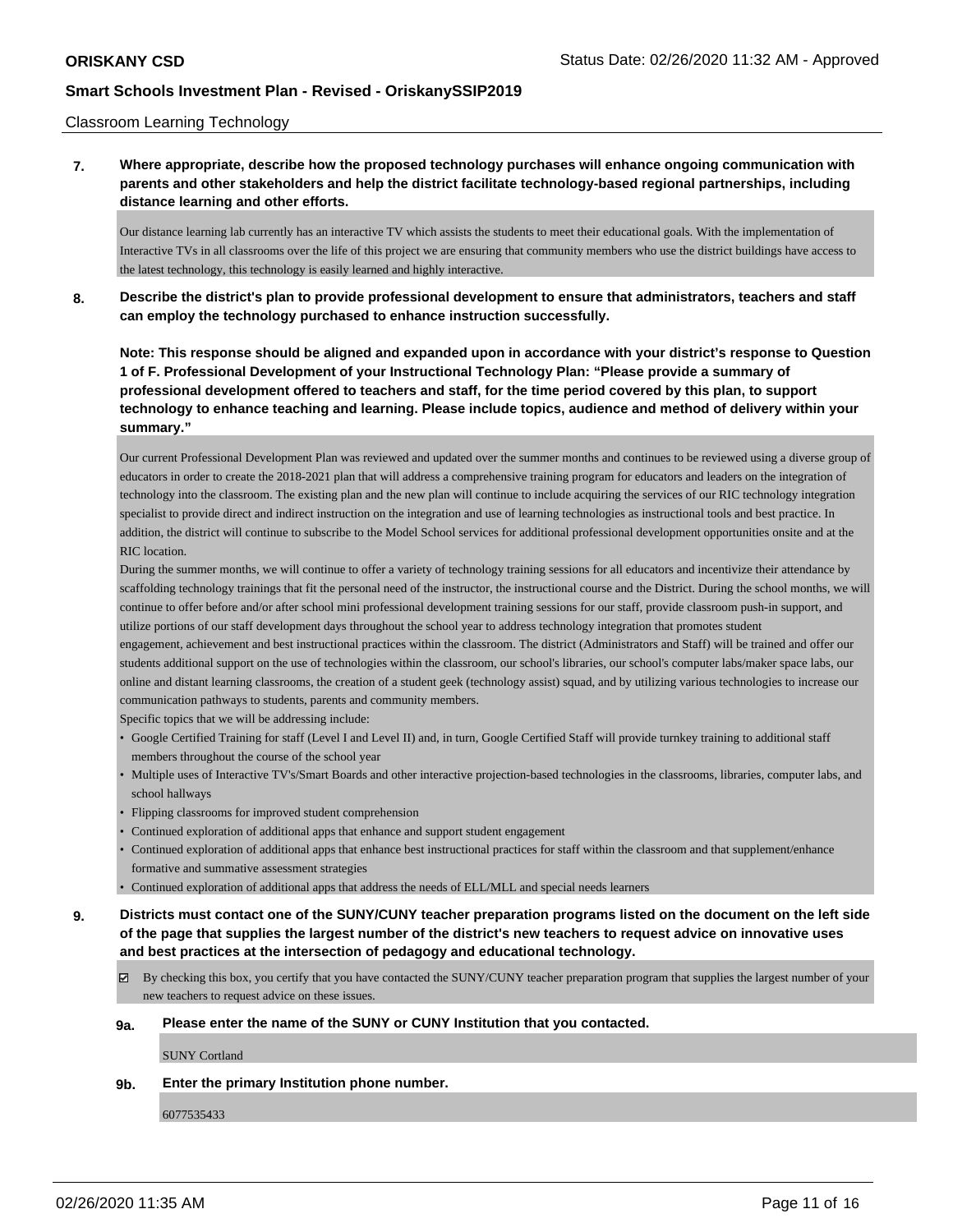#### Classroom Learning Technology

**7. Where appropriate, describe how the proposed technology purchases will enhance ongoing communication with parents and other stakeholders and help the district facilitate technology-based regional partnerships, including distance learning and other efforts.**

Our distance learning lab currently has an interactive TV which assists the students to meet their educational goals. With the implementation of Interactive TVs in all classrooms over the life of this project we are ensuring that community members who use the district buildings have access to the latest technology, this technology is easily learned and highly interactive.

**8. Describe the district's plan to provide professional development to ensure that administrators, teachers and staff can employ the technology purchased to enhance instruction successfully.**

**Note: This response should be aligned and expanded upon in accordance with your district's response to Question 1 of F. Professional Development of your Instructional Technology Plan: "Please provide a summary of professional development offered to teachers and staff, for the time period covered by this plan, to support technology to enhance teaching and learning. Please include topics, audience and method of delivery within your summary."**

Our current Professional Development Plan was reviewed and updated over the summer months and continues to be reviewed using a diverse group of educators in order to create the 2018-2021 plan that will address a comprehensive training program for educators and leaders on the integration of technology into the classroom. The existing plan and the new plan will continue to include acquiring the services of our RIC technology integration specialist to provide direct and indirect instruction on the integration and use of learning technologies as instructional tools and best practice. In addition, the district will continue to subscribe to the Model School services for additional professional development opportunities onsite and at the RIC location.

During the summer months, we will continue to offer a variety of technology training sessions for all educators and incentivize their attendance by scaffolding technology trainings that fit the personal need of the instructor, the instructional course and the District. During the school months, we will continue to offer before and/or after school mini professional development training sessions for our staff, provide classroom push-in support, and utilize portions of our staff development days throughout the school year to address technology integration that promotes student

engagement, achievement and best instructional practices within the classroom. The district (Administrators and Staff) will be trained and offer our students additional support on the use of technologies within the classroom, our school's libraries, our school's computer labs/maker space labs, our online and distant learning classrooms, the creation of a student geek (technology assist) squad, and by utilizing various technologies to increase our communication pathways to students, parents and community members.

Specific topics that we will be addressing include:

- Google Certified Training for staff (Level I and Level II) and, in turn, Google Certified Staff will provide turnkey training to additional staff members throughout the course of the school year
- Multiple uses of Interactive TV's/Smart Boards and other interactive projection-based technologies in the classrooms, libraries, computer labs, and school hallways
- Flipping classrooms for improved student comprehension
- Continued exploration of additional apps that enhance and support student engagement
- Continued exploration of additional apps that enhance best instructional practices for staff within the classroom and that supplement/enhance formative and summative assessment strategies
- Continued exploration of additional apps that address the needs of ELL/MLL and special needs learners

**9. Districts must contact one of the SUNY/CUNY teacher preparation programs listed on the document on the left side of the page that supplies the largest number of the district's new teachers to request advice on innovative uses and best practices at the intersection of pedagogy and educational technology.**

 $\boxtimes$  By checking this box, you certify that you have contacted the SUNY/CUNY teacher preparation program that supplies the largest number of your new teachers to request advice on these issues.

#### **9a. Please enter the name of the SUNY or CUNY Institution that you contacted.**

SUNY Cortland

#### **9b. Enter the primary Institution phone number.**

6077535433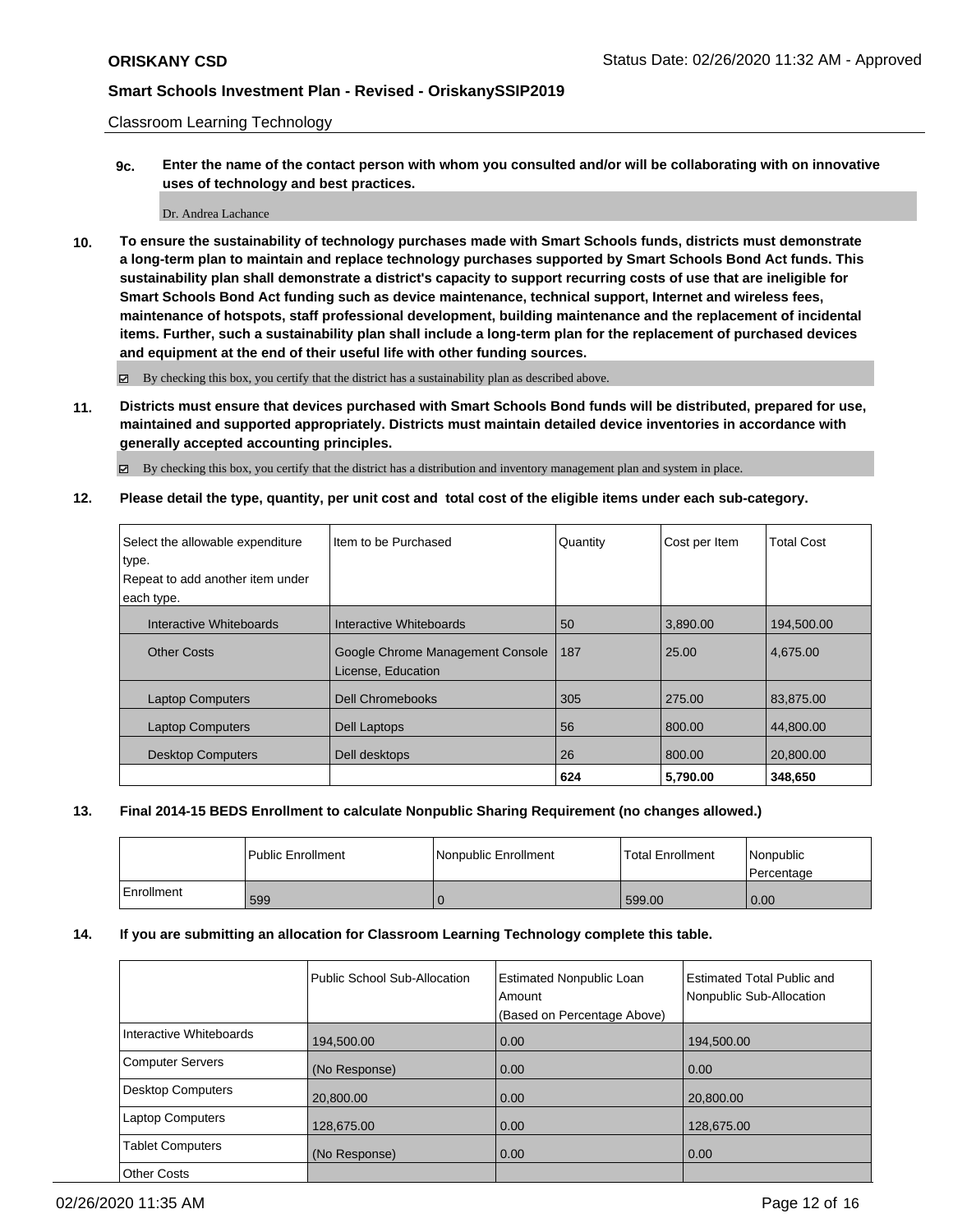Classroom Learning Technology

**9c. Enter the name of the contact person with whom you consulted and/or will be collaborating with on innovative uses of technology and best practices.**

#### Dr. Andrea Lachance

**10. To ensure the sustainability of technology purchases made with Smart Schools funds, districts must demonstrate a long-term plan to maintain and replace technology purchases supported by Smart Schools Bond Act funds. This sustainability plan shall demonstrate a district's capacity to support recurring costs of use that are ineligible for Smart Schools Bond Act funding such as device maintenance, technical support, Internet and wireless fees, maintenance of hotspots, staff professional development, building maintenance and the replacement of incidental items. Further, such a sustainability plan shall include a long-term plan for the replacement of purchased devices and equipment at the end of their useful life with other funding sources.**

By checking this box, you certify that the district has a sustainability plan as described above.

**11. Districts must ensure that devices purchased with Smart Schools Bond funds will be distributed, prepared for use, maintained and supported appropriately. Districts must maintain detailed device inventories in accordance with generally accepted accounting principles.**

By checking this box, you certify that the district has a distribution and inventory management plan and system in place.

**12. Please detail the type, quantity, per unit cost and total cost of the eligible items under each sub-category.**

| Select the allowable expenditure<br>type. | Item to be Purchased                                   | Quantity | Cost per Item | <b>Total Cost</b> |
|-------------------------------------------|--------------------------------------------------------|----------|---------------|-------------------|
| Repeat to add another item under          |                                                        |          |               |                   |
| each type.                                |                                                        |          |               |                   |
| Interactive Whiteboards                   | Interactive Whiteboards                                | 50       | 3,890.00      | 194,500.00        |
| <b>Other Costs</b>                        | Google Chrome Management Console<br>License, Education | 187      | 25.00         | 4,675.00          |
| <b>Laptop Computers</b>                   | <b>Dell Chromebooks</b>                                | 305      | 275.00        | 83.875.00         |
| <b>Laptop Computers</b>                   | Dell Laptops                                           | 56       | 800.00        | 44,800.00         |
| <b>Desktop Computers</b>                  | Dell desktops                                          | 26       | 800.00        | 20.800.00         |
|                                           |                                                        | 624      | 5,790.00      | 348,650           |

### **13. Final 2014-15 BEDS Enrollment to calculate Nonpublic Sharing Requirement (no changes allowed.)**

|            | Public Enrollment | Nonpublic Enrollment | <b>Total Enrollment</b> | Nonpublic<br>l Percentage |
|------------|-------------------|----------------------|-------------------------|---------------------------|
| Enrollment | 599               |                      | 599.00                  | 0.00                      |

#### **14. If you are submitting an allocation for Classroom Learning Technology complete this table.**

|                          | <b>Public School Sub-Allocation</b> | <b>Estimated Nonpublic Loan</b><br>Amount<br>(Based on Percentage Above) | <b>Estimated Total Public and</b><br>Nonpublic Sub-Allocation |
|--------------------------|-------------------------------------|--------------------------------------------------------------------------|---------------------------------------------------------------|
| Interactive Whiteboards  | 194,500.00                          | 0.00                                                                     | 194,500.00                                                    |
| <b>Computer Servers</b>  | (No Response)                       | 0.00                                                                     | 0.00                                                          |
| <b>Desktop Computers</b> | 20.800.00                           | 0.00                                                                     | 20,800.00                                                     |
| <b>Laptop Computers</b>  | 128,675.00                          | 0.00                                                                     | 128,675.00                                                    |
| <b>Tablet Computers</b>  | (No Response)                       | 0.00                                                                     | 0.00                                                          |
| <b>Other Costs</b>       |                                     |                                                                          |                                                               |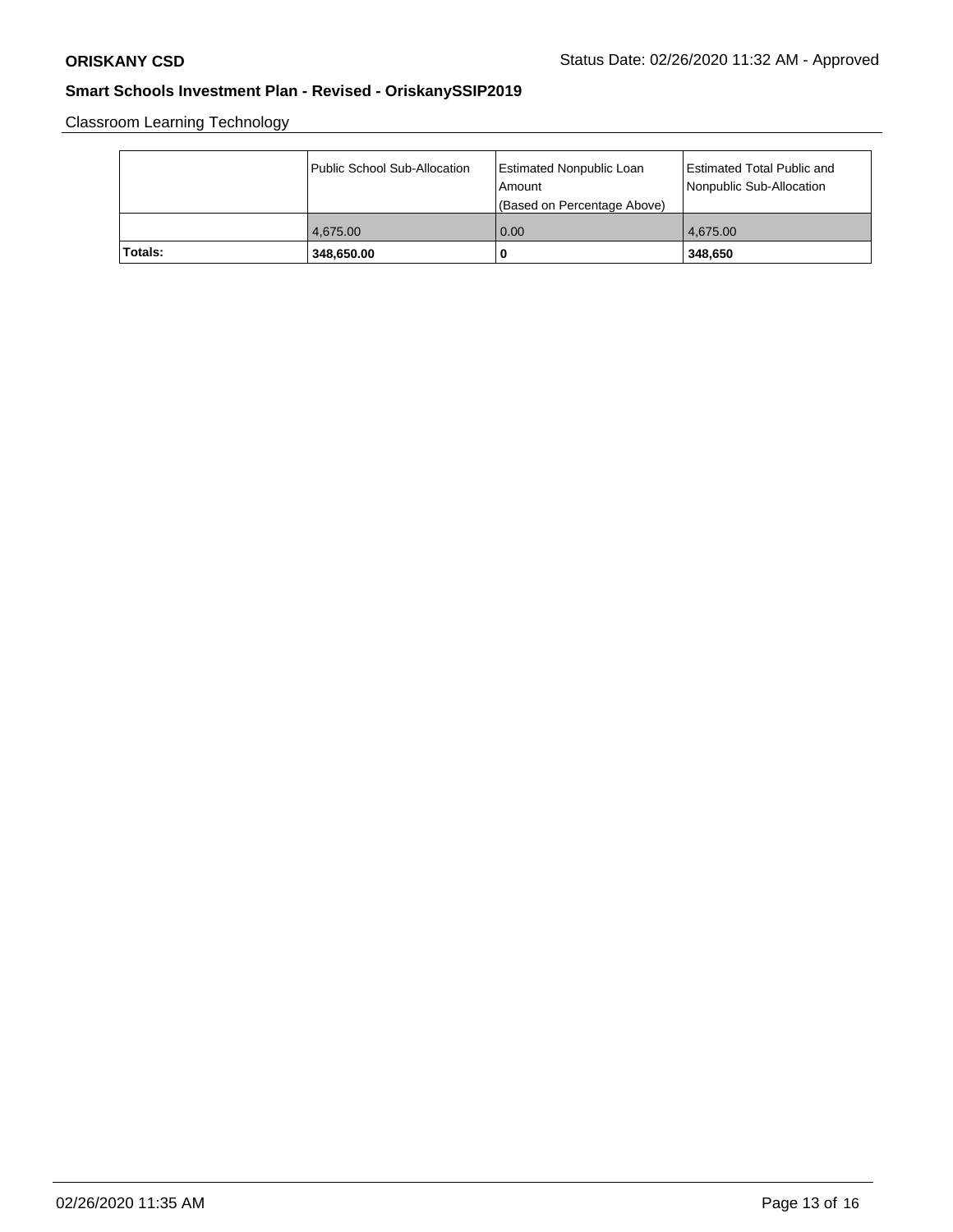Classroom Learning Technology

|         | Public School Sub-Allocation | Estimated Nonpublic Loan<br>l Amount<br>(Based on Percentage Above) | Estimated Total Public and<br>Nonpublic Sub-Allocation |
|---------|------------------------------|---------------------------------------------------------------------|--------------------------------------------------------|
|         | 4.675.00                     | 0.00                                                                | 4.675.00                                               |
| Totals: | 348,650.00                   | O                                                                   | 348.650                                                |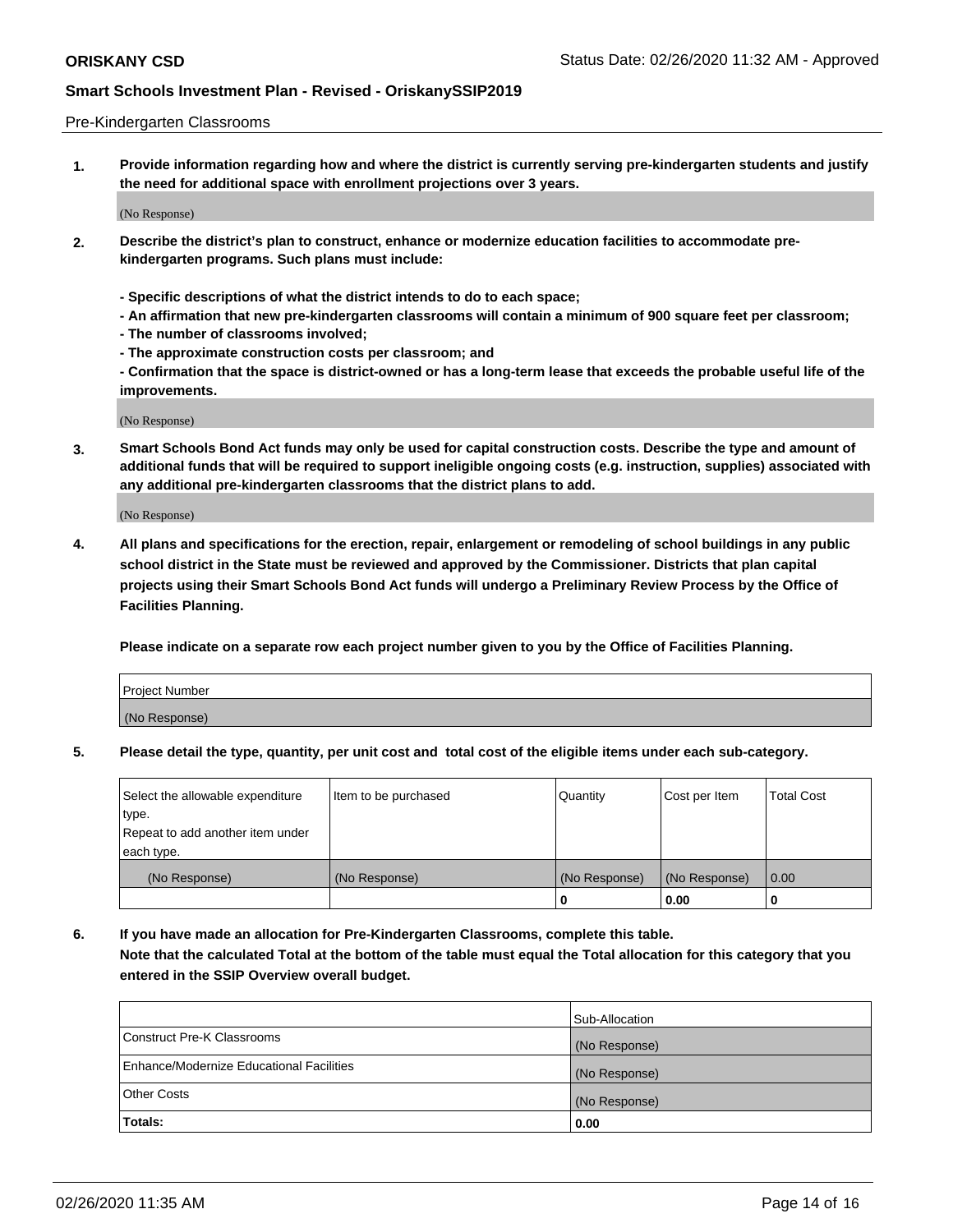#### Pre-Kindergarten Classrooms

**1. Provide information regarding how and where the district is currently serving pre-kindergarten students and justify the need for additional space with enrollment projections over 3 years.**

(No Response)

- **2. Describe the district's plan to construct, enhance or modernize education facilities to accommodate prekindergarten programs. Such plans must include:**
	- **Specific descriptions of what the district intends to do to each space;**
	- **An affirmation that new pre-kindergarten classrooms will contain a minimum of 900 square feet per classroom;**
	- **The number of classrooms involved;**
	- **The approximate construction costs per classroom; and**
	- **Confirmation that the space is district-owned or has a long-term lease that exceeds the probable useful life of the improvements.**

(No Response)

**3. Smart Schools Bond Act funds may only be used for capital construction costs. Describe the type and amount of additional funds that will be required to support ineligible ongoing costs (e.g. instruction, supplies) associated with any additional pre-kindergarten classrooms that the district plans to add.**

(No Response)

**4. All plans and specifications for the erection, repair, enlargement or remodeling of school buildings in any public school district in the State must be reviewed and approved by the Commissioner. Districts that plan capital projects using their Smart Schools Bond Act funds will undergo a Preliminary Review Process by the Office of Facilities Planning.**

**Please indicate on a separate row each project number given to you by the Office of Facilities Planning.**

| Project Number |  |
|----------------|--|
| (No Response)  |  |
|                |  |

**5. Please detail the type, quantity, per unit cost and total cost of the eligible items under each sub-category.**

| Select the allowable expenditure | Item to be purchased | Quantity      | Cost per Item | <b>Total Cost</b> |
|----------------------------------|----------------------|---------------|---------------|-------------------|
| 'type.                           |                      |               |               |                   |
| Repeat to add another item under |                      |               |               |                   |
| each type.                       |                      |               |               |                   |
| (No Response)                    | (No Response)        | (No Response) | (No Response) | 0.00              |
|                                  |                      | U             | 0.00          |                   |

**6. If you have made an allocation for Pre-Kindergarten Classrooms, complete this table. Note that the calculated Total at the bottom of the table must equal the Total allocation for this category that you entered in the SSIP Overview overall budget.**

|                                          | Sub-Allocation |
|------------------------------------------|----------------|
| Construct Pre-K Classrooms               | (No Response)  |
| Enhance/Modernize Educational Facilities | (No Response)  |
| <b>Other Costs</b>                       | (No Response)  |
| Totals:                                  | 0.00           |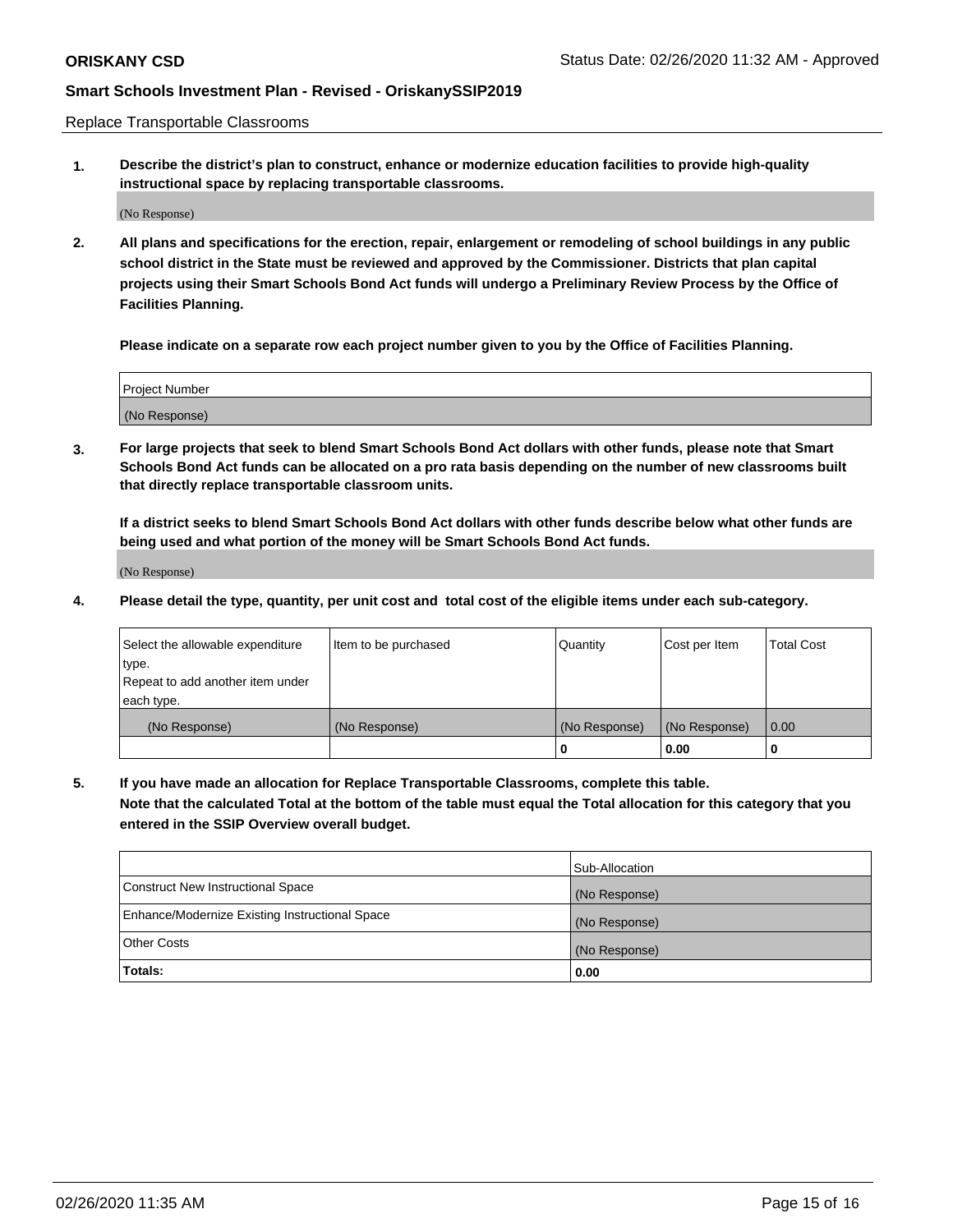Replace Transportable Classrooms

**1. Describe the district's plan to construct, enhance or modernize education facilities to provide high-quality instructional space by replacing transportable classrooms.**

(No Response)

**2. All plans and specifications for the erection, repair, enlargement or remodeling of school buildings in any public school district in the State must be reviewed and approved by the Commissioner. Districts that plan capital projects using their Smart Schools Bond Act funds will undergo a Preliminary Review Process by the Office of Facilities Planning.**

**Please indicate on a separate row each project number given to you by the Office of Facilities Planning.**

| Project Number |  |
|----------------|--|
|                |  |
|                |  |
|                |  |
|                |  |
| (No Response)  |  |
|                |  |
|                |  |
|                |  |

**3. For large projects that seek to blend Smart Schools Bond Act dollars with other funds, please note that Smart Schools Bond Act funds can be allocated on a pro rata basis depending on the number of new classrooms built that directly replace transportable classroom units.**

**If a district seeks to blend Smart Schools Bond Act dollars with other funds describe below what other funds are being used and what portion of the money will be Smart Schools Bond Act funds.**

(No Response)

**4. Please detail the type, quantity, per unit cost and total cost of the eligible items under each sub-category.**

| Select the allowable expenditure | Item to be purchased | Quantity      | Cost per Item | Total Cost |
|----------------------------------|----------------------|---------------|---------------|------------|
| ∣type.                           |                      |               |               |            |
| Repeat to add another item under |                      |               |               |            |
| each type.                       |                      |               |               |            |
| (No Response)                    | (No Response)        | (No Response) | (No Response) | 0.00       |
|                                  |                      | u             | 0.00          |            |

**5. If you have made an allocation for Replace Transportable Classrooms, complete this table. Note that the calculated Total at the bottom of the table must equal the Total allocation for this category that you entered in the SSIP Overview overall budget.**

|                                                | Sub-Allocation |
|------------------------------------------------|----------------|
| Construct New Instructional Space              | (No Response)  |
| Enhance/Modernize Existing Instructional Space | (No Response)  |
| Other Costs                                    | (No Response)  |
| Totals:                                        | 0.00           |